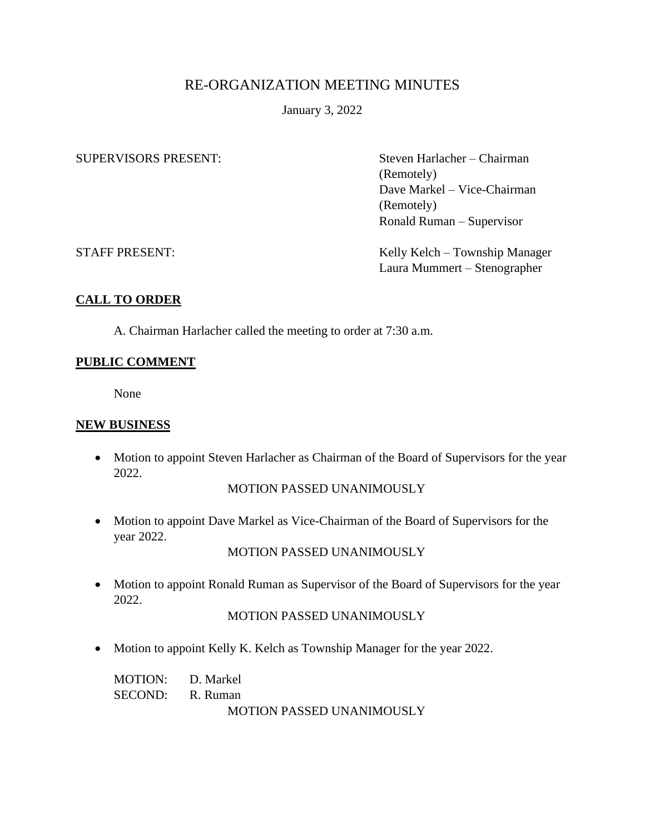# RE-ORGANIZATION MEETING MINUTES

January 3, 2022

SUPERVISORS PRESENT: Steven Harlacher – Chairman (Remotely) Dave Markel – Vice-Chairman (Remotely) Ronald Ruman – Supervisor

STAFF PRESENT: Kelly Kelch – Township Manager Laura Mummert – Stenographer

## **CALL TO ORDER**

A. Chairman Harlacher called the meeting to order at 7:30 a.m.

## **PUBLIC COMMENT**

None

## **NEW BUSINESS**

• Motion to appoint Steven Harlacher as Chairman of the Board of Supervisors for the year 2022.

MOTION PASSED UNANIMOUSLY

• Motion to appoint Dave Markel as Vice-Chairman of the Board of Supervisors for the year 2022.

MOTION PASSED UNANIMOUSLY

• Motion to appoint Ronald Ruman as Supervisor of the Board of Supervisors for the year 2022.

## MOTION PASSED UNANIMOUSLY

• Motion to appoint Kelly K. Kelch as Township Manager for the year 2022.

MOTION: D. Markel SECOND: R. Ruman MOTION PASSED UNANIMOUSLY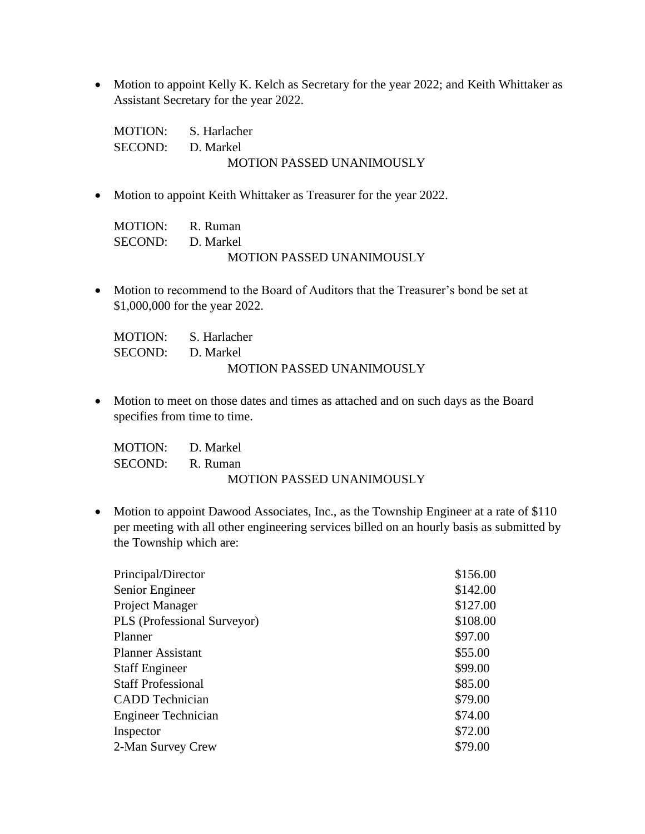• Motion to appoint Kelly K. Kelch as Secretary for the year 2022; and Keith Whittaker as Assistant Secretary for the year 2022.

MOTION: S. Harlacher SECOND: D. Markel MOTION PASSED UNANIMOUSLY

• Motion to appoint Keith Whittaker as Treasurer for the year 2022.

| MOTION: R. Ruman  |                                  |
|-------------------|----------------------------------|
| SECOND: D. Markel |                                  |
|                   | <b>MOTION PASSED UNANIMOUSLY</b> |

• Motion to recommend to the Board of Auditors that the Treasurer's bond be set at \$1,000,000 for the year 2022.

|                   | MOTION: S. Harlacher             |
|-------------------|----------------------------------|
| SECOND: D. Markel |                                  |
|                   | <b>MOTION PASSED UNANIMOUSLY</b> |

• Motion to meet on those dates and times as attached and on such days as the Board specifies from time to time.

| MOTION: D. Markel |                                  |
|-------------------|----------------------------------|
| SECOND: R. Ruman  |                                  |
|                   | <b>MOTION PASSED UNANIMOUSLY</b> |

• Motion to appoint Dawood Associates, Inc., as the Township Engineer at a rate of \$110 per meeting with all other engineering services billed on an hourly basis as submitted by the Township which are:

| Principal/Director          | \$156.00 |
|-----------------------------|----------|
| Senior Engineer             | \$142.00 |
| Project Manager             | \$127.00 |
| PLS (Professional Surveyor) | \$108.00 |
| Planner                     | \$97.00  |
| <b>Planner Assistant</b>    | \$55.00  |
| <b>Staff Engineer</b>       | \$99.00  |
| <b>Staff Professional</b>   | \$85.00  |
| <b>CADD</b> Technician      | \$79.00  |
| <b>Engineer Technician</b>  | \$74.00  |
| Inspector                   | \$72.00  |
| 2-Man Survey Crew           | \$79.00  |
|                             |          |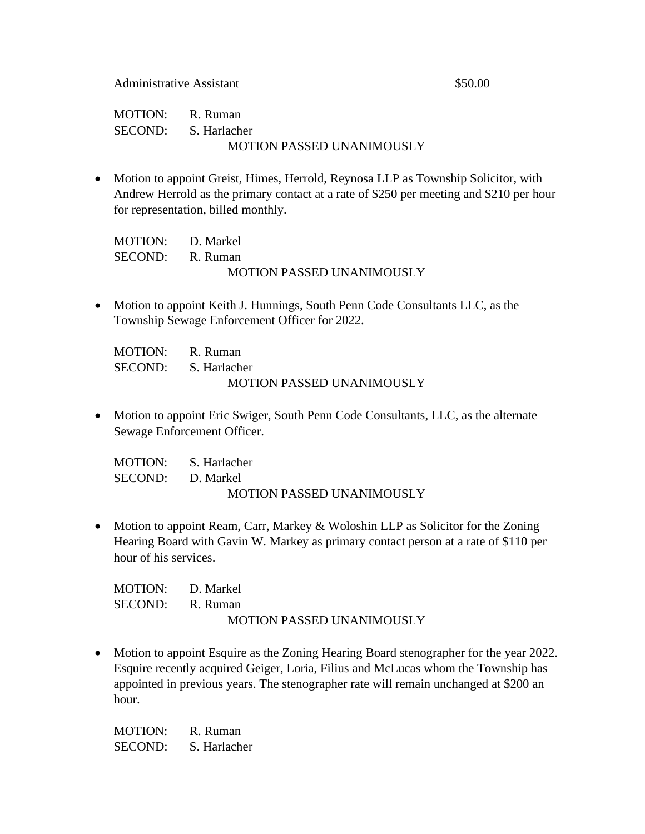| MOTION: R. Ruman |                                  |
|------------------|----------------------------------|
|                  | SECOND: S. Harlacher             |
|                  | <b>MOTION PASSED UNANIMOUSLY</b> |

• Motion to appoint Greist, Himes, Herrold, Reynosa LLP as Township Solicitor, with Andrew Herrold as the primary contact at a rate of \$250 per meeting and \$210 per hour for representation, billed monthly.

MOTION: D. Markel SECOND: R. Ruman

MOTION PASSED UNANIMOUSLY

• Motion to appoint Keith J. Hunnings, South Penn Code Consultants LLC, as the Township Sewage Enforcement Officer for 2022.

MOTION: R. Ruman SECOND: S. Harlacher MOTION PASSED UNANIMOUSLY

• Motion to appoint Eric Swiger, South Penn Code Consultants, LLC, as the alternate Sewage Enforcement Officer.

|                   | MOTION: S. Harlacher             |
|-------------------|----------------------------------|
| SECOND: D. Markel |                                  |
|                   | <b>MOTION PASSED UNANIMOUSLY</b> |

• Motion to appoint Ream, Carr, Markey & Woloshin LLP as Solicitor for the Zoning Hearing Board with Gavin W. Markey as primary contact person at a rate of \$110 per hour of his services.

MOTION: D. Markel SECOND: R. Ruman MOTION PASSED UNANIMOUSLY

• Motion to appoint Esquire as the Zoning Hearing Board stenographer for the year 2022. Esquire recently acquired Geiger, Loria, Filius and McLucas whom the Township has appointed in previous years. The stenographer rate will remain unchanged at \$200 an hour.

MOTION: R. Ruman SECOND: S. Harlacher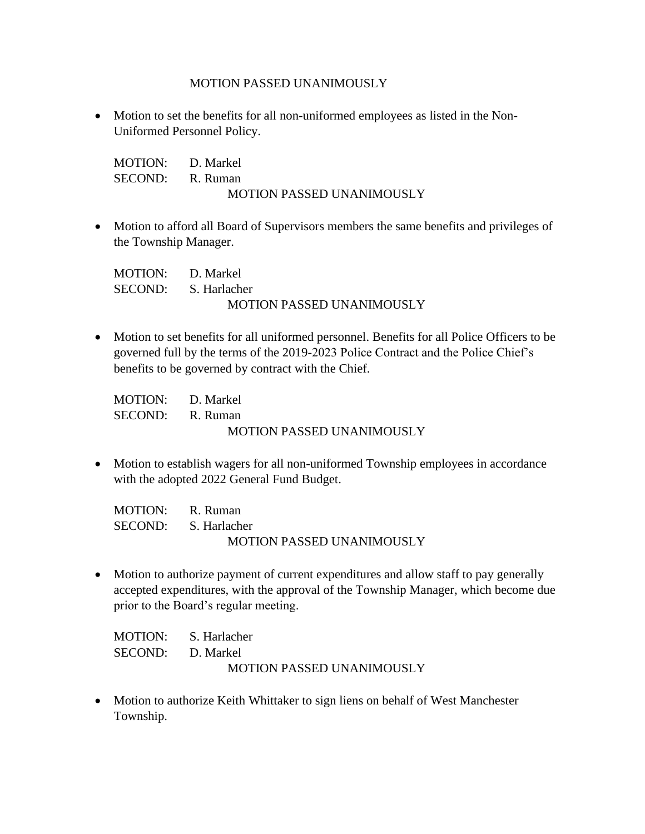#### MOTION PASSED UNANIMOUSLY

• Motion to set the benefits for all non-uniformed employees as listed in the Non-Uniformed Personnel Policy.

MOTION: D. Markel SECOND: R. Ruman MOTION PASSED UNANIMOUSLY

• Motion to afford all Board of Supervisors members the same benefits and privileges of the Township Manager.

MOTION: D. Markel SECOND: S. Harlacher MOTION PASSED UNANIMOUSLY

• Motion to set benefits for all uniformed personnel. Benefits for all Police Officers to be governed full by the terms of the 2019-2023 Police Contract and the Police Chief's benefits to be governed by contract with the Chief.

MOTION: D. Markel SECOND: R. Ruman MOTION PASSED UNANIMOUSLY

• Motion to establish wagers for all non-uniformed Township employees in accordance with the adopted 2022 General Fund Budget.

| MOTION: R. Ruman |                                  |
|------------------|----------------------------------|
|                  | SECOND: S. Harlacher             |
|                  | <b>MOTION PASSED UNANIMOUSLY</b> |

• Motion to authorize payment of current expenditures and allow staff to pay generally accepted expenditures, with the approval of the Township Manager, which become due prior to the Board's regular meeting.

|                   | MOTION: S. Harlacher             |
|-------------------|----------------------------------|
| SECOND: D. Markel |                                  |
|                   | <b>MOTION PASSED UNANIMOUSLY</b> |

• Motion to authorize Keith Whittaker to sign liens on behalf of West Manchester Township.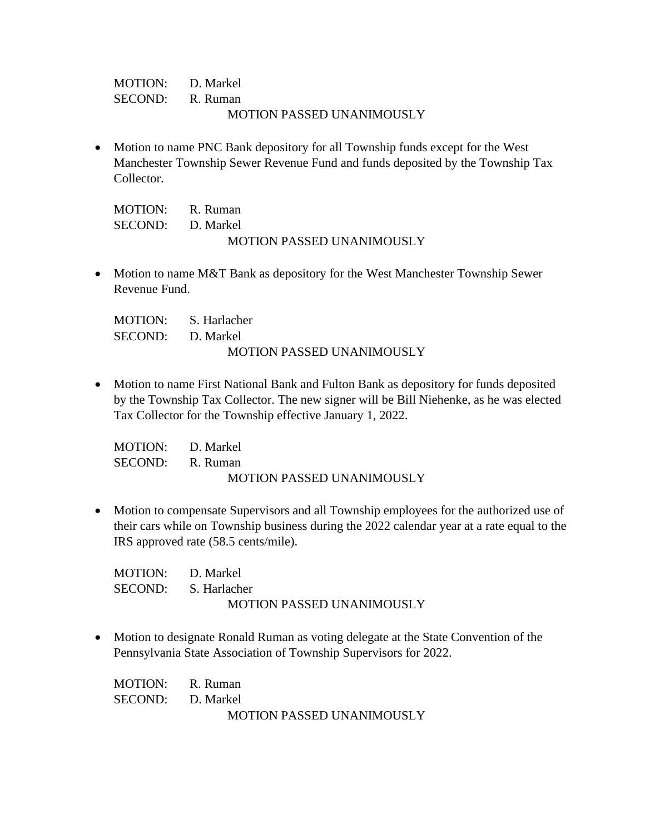| MOTION: D. Markel |                                  |
|-------------------|----------------------------------|
| SECOND: R. Ruman  |                                  |
|                   | <b>MOTION PASSED UNANIMOUSLY</b> |

• Motion to name PNC Bank depository for all Township funds except for the West Manchester Township Sewer Revenue Fund and funds deposited by the Township Tax Collector.

| MOTION: R. Ruman  |                                  |
|-------------------|----------------------------------|
| SECOND: D. Markel |                                  |
|                   | <b>MOTION PASSED UNANIMOUSLY</b> |

• Motion to name M&T Bank as depository for the West Manchester Township Sewer Revenue Fund.

|                   | MOTION: S. Harlacher             |
|-------------------|----------------------------------|
| SECOND: D. Markel |                                  |
|                   | <b>MOTION PASSED UNANIMOUSLY</b> |

• Motion to name First National Bank and Fulton Bank as depository for funds deposited by the Township Tax Collector. The new signer will be Bill Niehenke, as he was elected Tax Collector for the Township effective January 1, 2022.

| MOTION: D. Markel |                                  |
|-------------------|----------------------------------|
| SECOND: R. Ruman  |                                  |
|                   | <b>MOTION PASSED UNANIMOUSLY</b> |

• Motion to compensate Supervisors and all Township employees for the authorized use of their cars while on Township business during the 2022 calendar year at a rate equal to the IRS approved rate (58.5 cents/mile).

MOTION: D. Markel SECOND: S. Harlacher MOTION PASSED UNANIMOUSLY

• Motion to designate Ronald Ruman as voting delegate at the State Convention of the Pennsylvania State Association of Township Supervisors for 2022.

MOTION: R. Ruman SECOND: D. Markel MOTION PASSED UNANIMOUSLY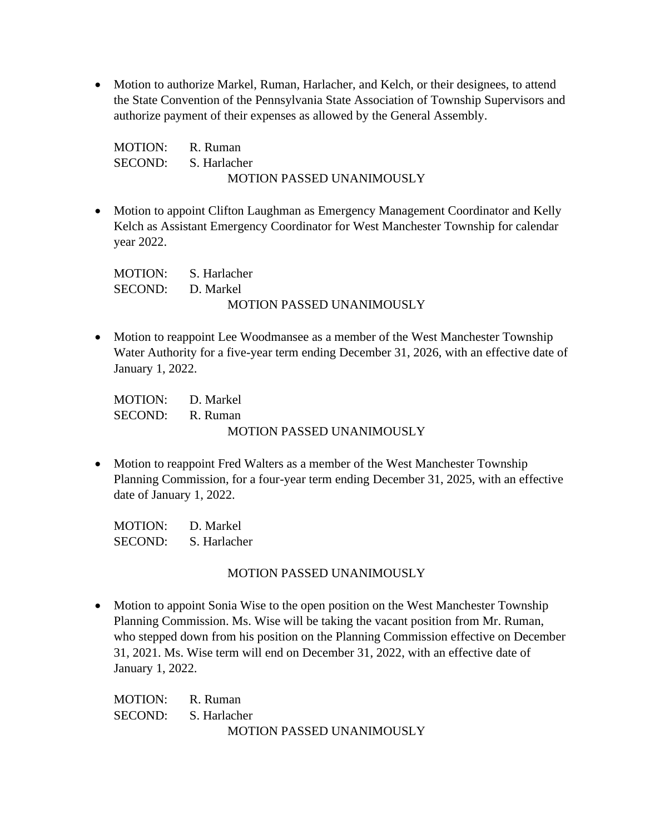• Motion to authorize Markel, Ruman, Harlacher, and Kelch, or their designees, to attend the State Convention of the Pennsylvania State Association of Township Supervisors and authorize payment of their expenses as allowed by the General Assembly.

MOTION: R. Ruman SECOND: S. Harlacher MOTION PASSED UNANIMOUSLY

• Motion to appoint Clifton Laughman as Emergency Management Coordinator and Kelly Kelch as Assistant Emergency Coordinator for West Manchester Township for calendar year 2022.

MOTION: S. Harlacher SECOND: D. Markel MOTION PASSED UNANIMOUSLY

• Motion to reappoint Lee Woodmansee as a member of the West Manchester Township Water Authority for a five-year term ending December 31, 2026, with an effective date of January 1, 2022.

MOTION: D. Markel SECOND: R. Ruman MOTION PASSED UNANIMOUSLY

• Motion to reappoint Fred Walters as a member of the West Manchester Township Planning Commission, for a four-year term ending December 31, 2025, with an effective date of January 1, 2022.

| MOTION: | D. Markel    |
|---------|--------------|
| SECOND: | S. Harlacher |

## MOTION PASSED UNANIMOUSLY

• Motion to appoint Sonia Wise to the open position on the West Manchester Township Planning Commission. Ms. Wise will be taking the vacant position from Mr. Ruman, who stepped down from his position on the Planning Commission effective on December 31, 2021. Ms. Wise term will end on December 31, 2022, with an effective date of January 1, 2022.

| MOTION: R. Ruman |                                  |
|------------------|----------------------------------|
|                  | SECOND: S. Harlacher             |
|                  | <b>MOTION PASSED UNANIMOUSLY</b> |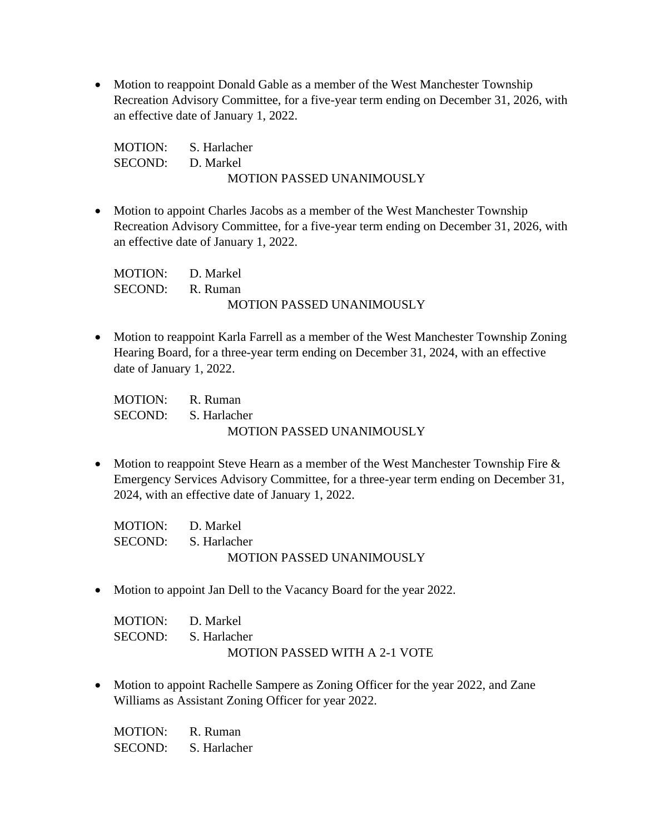• Motion to reappoint Donald Gable as a member of the West Manchester Township Recreation Advisory Committee, for a five-year term ending on December 31, 2026, with an effective date of January 1, 2022.

MOTION: S. Harlacher SECOND: D. Markel MOTION PASSED UNANIMOUSLY

• Motion to appoint Charles Jacobs as a member of the West Manchester Township Recreation Advisory Committee, for a five-year term ending on December 31, 2026, with an effective date of January 1, 2022.

MOTION: D. Markel SECOND: R. Ruman MOTION PASSED UNANIMOUSLY

• Motion to reappoint Karla Farrell as a member of the West Manchester Township Zoning Hearing Board, for a three-year term ending on December 31, 2024, with an effective date of January 1, 2022.

MOTION: R. Ruman SECOND: S. Harlacher MOTION PASSED UNANIMOUSLY

• Motion to reappoint Steve Hearn as a member of the West Manchester Township Fire & Emergency Services Advisory Committee, for a three-year term ending on December 31, 2024, with an effective date of January 1, 2022.

| MOTION: D. Markel                |
|----------------------------------|
| SECOND: S. Harlacher             |
| <b>MOTION PASSED UNANIMOUSLY</b> |

• Motion to appoint Jan Dell to the Vacancy Board for the year 2022.

| MOTION: D. Markel |                                      |
|-------------------|--------------------------------------|
|                   | SECOND: S. Harlacher                 |
|                   | <b>MOTION PASSED WITH A 2-1 VOTE</b> |

• Motion to appoint Rachelle Sampere as Zoning Officer for the year 2022, and Zane Williams as Assistant Zoning Officer for year 2022.

MOTION: R. Ruman SECOND: S. Harlacher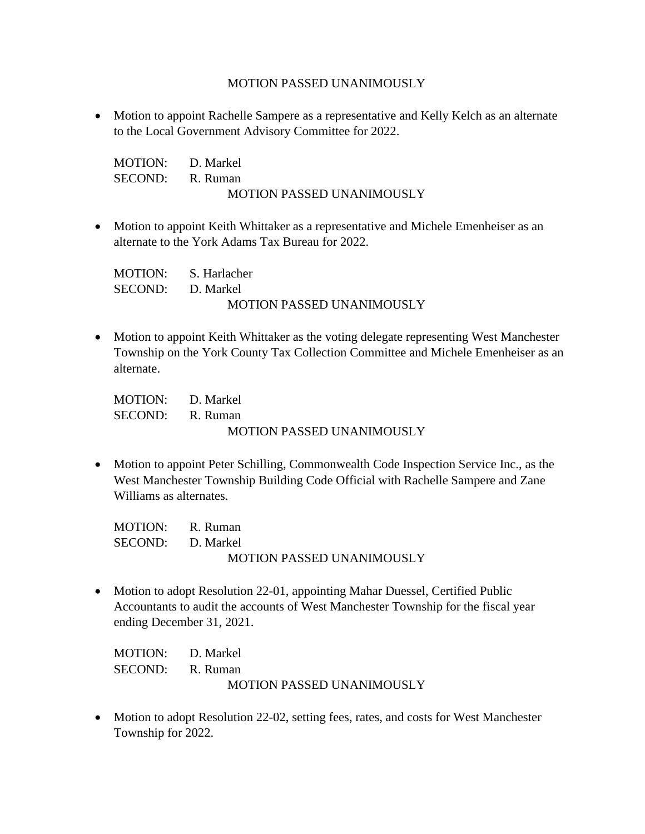#### MOTION PASSED UNANIMOUSLY

• Motion to appoint Rachelle Sampere as a representative and Kelly Kelch as an alternate to the Local Government Advisory Committee for 2022.

MOTION: D. Markel SECOND: R. Ruman MOTION PASSED UNANIMOUSLY

• Motion to appoint Keith Whittaker as a representative and Michele Emenheiser as an alternate to the York Adams Tax Bureau for 2022.

MOTION: S. Harlacher SECOND: D. Markel MOTION PASSED UNANIMOUSLY

• Motion to appoint Keith Whittaker as the voting delegate representing West Manchester Township on the York County Tax Collection Committee and Michele Emenheiser as an alternate.

MOTION: D. Markel SECOND: R. Ruman MOTION PASSED UNANIMOUSLY

• Motion to appoint Peter Schilling, Commonwealth Code Inspection Service Inc., as the West Manchester Township Building Code Official with Rachelle Sampere and Zane Williams as alternates.

| MOTION: R. Ruman  |                                  |
|-------------------|----------------------------------|
| SECOND: D. Markel |                                  |
|                   | <b>MOTION PASSED UNANIMOUSLY</b> |

• Motion to adopt Resolution 22-01, appointing Mahar Duessel, Certified Public Accountants to audit the accounts of West Manchester Township for the fiscal year ending December 31, 2021.

MOTION: D. Markel SECOND: R. Ruman MOTION PASSED UNANIMOUSLY

• Motion to adopt Resolution 22-02, setting fees, rates, and costs for West Manchester Township for 2022.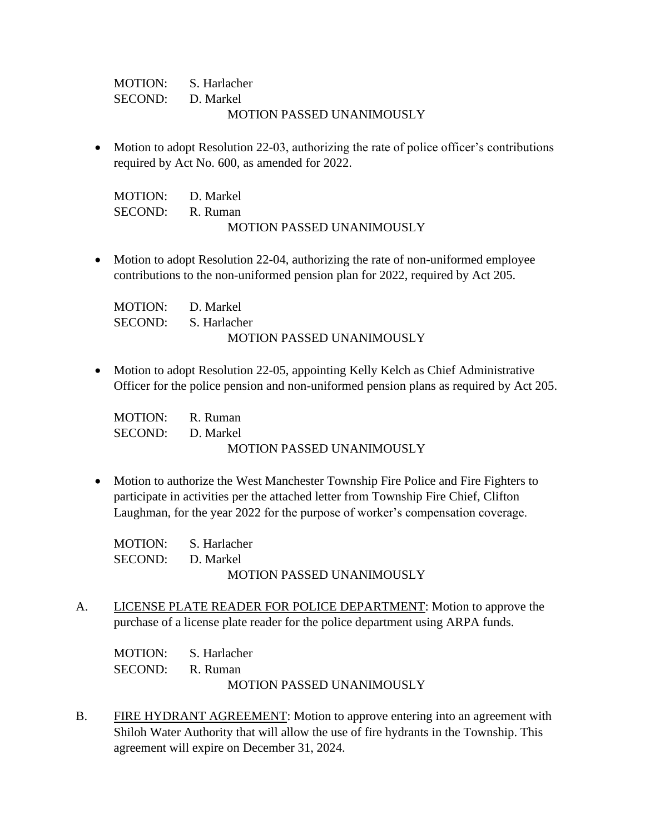|                   | MOTION: S. Harlacher      |
|-------------------|---------------------------|
| SECOND: D. Markel |                           |
|                   | MOTION PASSED UNANIMOUSLY |

• Motion to adopt Resolution 22-03, authorizing the rate of police officer's contributions required by Act No. 600, as amended for 2022.

| MOTION: D. Markel |                                  |
|-------------------|----------------------------------|
| SECOND: R. Ruman  |                                  |
|                   | <b>MOTION PASSED UNANIMOUSLY</b> |

• Motion to adopt Resolution 22-04, authorizing the rate of non-uniformed employee contributions to the non-uniformed pension plan for 2022, required by Act 205.

| MOTION: D. Markel |                                  |
|-------------------|----------------------------------|
|                   | SECOND: S. Harlacher             |
|                   | <b>MOTION PASSED UNANIMOUSLY</b> |

• Motion to adopt Resolution 22-05, appointing Kelly Kelch as Chief Administrative Officer for the police pension and non-uniformed pension plans as required by Act 205.

| MOTION: R. Ruman  |                           |
|-------------------|---------------------------|
| SECOND: D. Markel |                           |
|                   | MOTION PASSED UNANIMOUSLY |

• Motion to authorize the West Manchester Township Fire Police and Fire Fighters to participate in activities per the attached letter from Township Fire Chief, Clifton Laughman, for the year 2022 for the purpose of worker's compensation coverage.

|                   | MOTION: S. Harlacher             |
|-------------------|----------------------------------|
| SECOND: D. Markel |                                  |
|                   | <b>MOTION PASSED UNANIMOUSLY</b> |

A. LICENSE PLATE READER FOR POLICE DEPARTMENT: Motion to approve the purchase of a license plate reader for the police department using ARPA funds.

|                  | MOTION: S. Harlacher             |
|------------------|----------------------------------|
| SECOND: R. Ruman |                                  |
|                  | <b>MOTION PASSED UNANIMOUSLY</b> |

B. FIRE HYDRANT AGREEMENT: Motion to approve entering into an agreement with Shiloh Water Authority that will allow the use of fire hydrants in the Township. This agreement will expire on December 31, 2024.